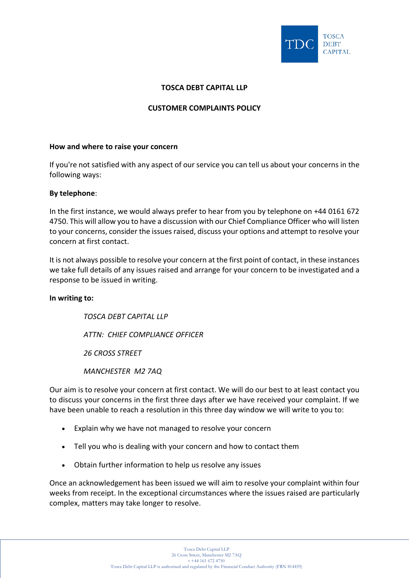

# **TOSCA DEBT CAPITAL LLP**

## **CUSTOMER COMPLAINTS POLICY**

### **How and where to raise your concern**

If you're not satisfied with any aspect of our service you can tell us about your concerns in the following ways:

## **By telephone**:

In the first instance, we would always prefer to hear from you by telephone on +44 0161 672 4750. This will allow you to have a discussion with our Chief Compliance Officer who will listen to your concerns, consider the issues raised, discuss your options and attempt to resolve your concern at first contact.

It is not always possible to resolve your concern at the first point of contact, in these instances we take full details of any issues raised and arrange for your concern to be investigated and a response to be issued in writing.

#### **In writing to:**

*TOSCA DEBT CAPITAL LLP ATTN: CHIEF COMPLIANCE OFFICER 26 CROSS STREET MANCHESTER M2 7AQ*

Our aim is to resolve your concern at first contact. We will do our best to at least contact you to discuss your concerns in the first three days after we have received your complaint. If we have been unable to reach a resolution in this three day window we will write to you to:

- Explain why we have not managed to resolve your concern
- Tell you who is dealing with your concern and how to contact them
- Obtain further information to help us resolve any issues

Once an acknowledgement has been issued we will aim to resolve your complaint within four weeks from receipt. In the exceptional circumstances where the issues raised are particularly complex, matters may take longer to resolve.